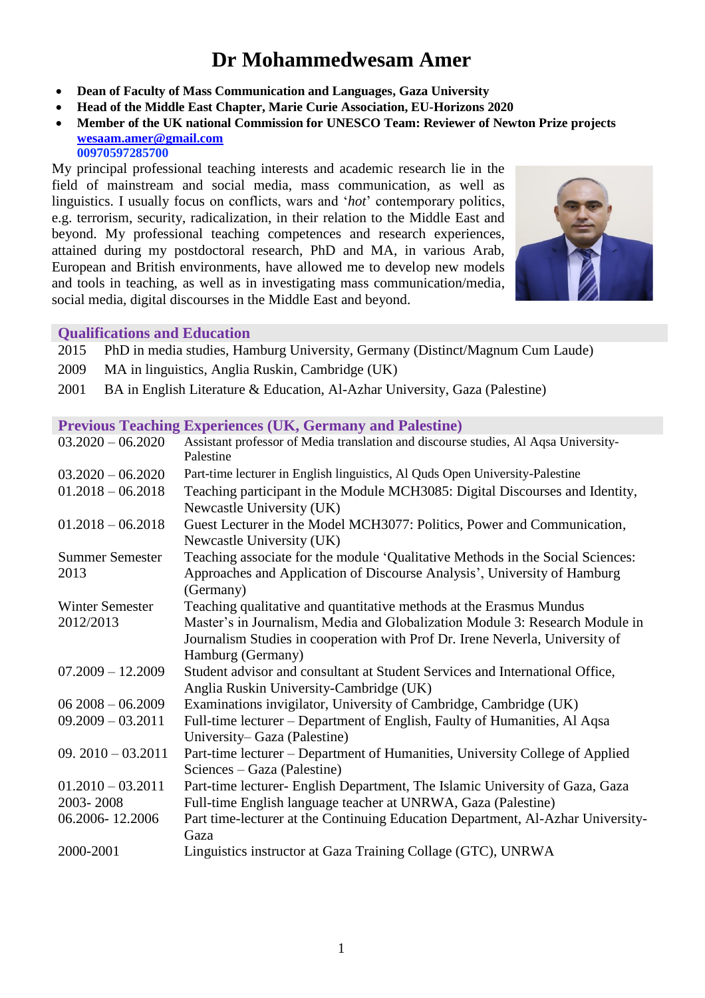# **Dr Mohammedwesam Amer**

- **Dean of Faculty of Mass Communication and Languages, Gaza University**
- **Head of the Middle East Chapter, Marie Curie Association, EU-Horizons 2020**
- **Member of the UK national Commission for UNESCO Team: Reviewer of Newton Prize projects [wesaam.amer@gmail.com](mailto:wesaam.amer@gmail.com)  00970597285700**

My principal professional teaching interests and academic research lie in the field of mainstream and social media, mass communication, as well as linguistics. I usually focus on conflicts, wars and '*hot*' contemporary politics, e.g. terrorism, security, radicalization, in their relation to the Middle East and beyond. My professional teaching competences and research experiences, attained during my postdoctoral research, PhD and MA, in various Arab, European and British environments, have allowed me to develop new models and tools in teaching, as well as in investigating mass communication/media, social media, digital discourses in the Middle East and beyond.



# **Qualifications and Education**

- 2015 PhD in media studies, Hamburg University, Germany (Distinct/Magnum Cum Laude)
- 2009 MA in linguistics, Anglia Ruskin, Cambridge (UK)
- 2001 BA in English Literature & Education, Al-Azhar University, Gaza (Palestine)

# **Previous Teaching Experiences (UK, Germany and Palestine)**

| $03.2020 - 06.2020$            | Assistant professor of Media translation and discourse studies, Al Aqsa University-<br>Palestine                                                                                  |
|--------------------------------|-----------------------------------------------------------------------------------------------------------------------------------------------------------------------------------|
| $03.2020 - 06.2020$            | Part-time lecturer in English linguistics, Al Quds Open University-Palestine                                                                                                      |
| $01.2018 - 06.2018$            | Teaching participant in the Module MCH3085: Digital Discourses and Identity,<br>Newcastle University (UK)                                                                         |
| $01.2018 - 06.2018$            | Guest Lecturer in the Model MCH3077: Politics, Power and Communication,<br>Newcastle University (UK)                                                                              |
| <b>Summer Semester</b><br>2013 | Teaching associate for the module 'Qualitative Methods in the Social Sciences:<br>Approaches and Application of Discourse Analysis', University of Hamburg<br>(Germany)           |
| <b>Winter Semester</b>         | Teaching qualitative and quantitative methods at the Erasmus Mundus                                                                                                               |
| 2012/2013                      | Master's in Journalism, Media and Globalization Module 3: Research Module in<br>Journalism Studies in cooperation with Prof Dr. Irene Neverla, University of<br>Hamburg (Germany) |
| $07.2009 - 12.2009$            | Student advisor and consultant at Student Services and International Office,<br>Anglia Ruskin University-Cambridge (UK)                                                           |
| $062008 - 06.2009$             | Examinations invigilator, University of Cambridge, Cambridge (UK)                                                                                                                 |
| $09.2009 - 03.2011$            | Full-time lecturer – Department of English, Faulty of Humanities, Al Aqsa<br>University–Gaza (Palestine)                                                                          |
| 09. $2010 - 03.2011$           | Part-time lecturer – Department of Humanities, University College of Applied<br>Sciences – Gaza (Palestine)                                                                       |
| $01.2010 - 03.2011$            | Part-time lecturer- English Department, The Islamic University of Gaza, Gaza                                                                                                      |
| 2003-2008                      | Full-time English language teacher at UNRWA, Gaza (Palestine)                                                                                                                     |
| 06.2006-12.2006                | Part time-lecturer at the Continuing Education Department, Al-Azhar University-<br>Gaza                                                                                           |
| 2000-2001                      | Linguistics instructor at Gaza Training Collage (GTC), UNRWA                                                                                                                      |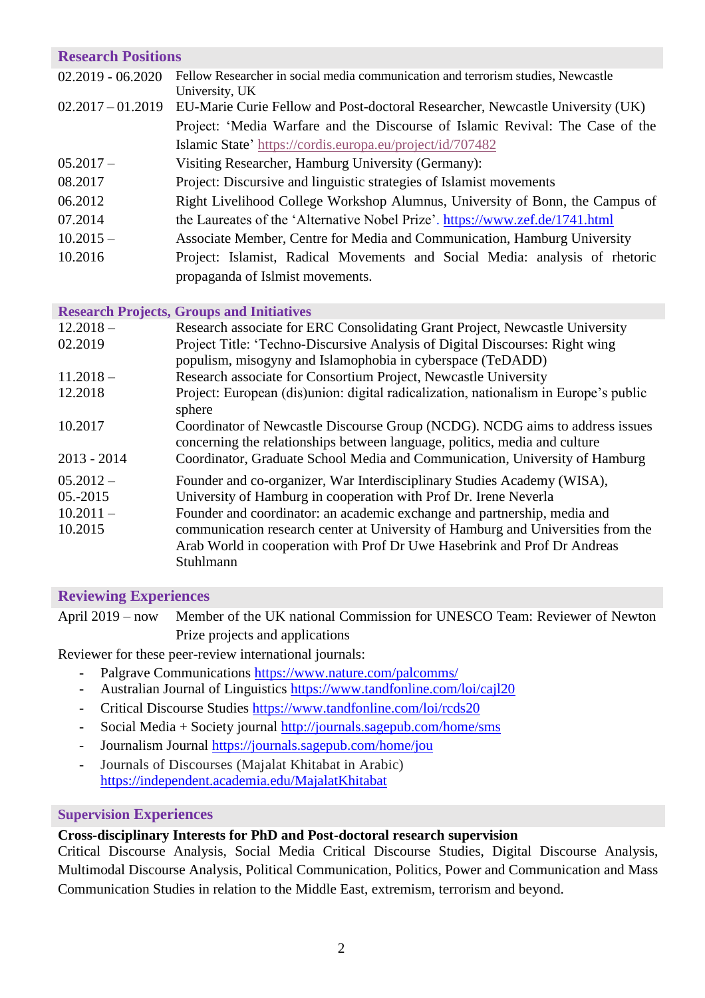# **Research Positions**

| $02.2019 - 06.2020$ | Fellow Researcher in social media communication and terrorism studies, Newcastle<br>University, UK |
|---------------------|----------------------------------------------------------------------------------------------------|
|                     |                                                                                                    |
| $02.2017 - 01.2019$ | EU-Marie Curie Fellow and Post-doctoral Researcher, Newcastle University (UK)                      |
|                     | Project: 'Media Warfare and the Discourse of Islamic Revival: The Case of the                      |
|                     | Islamic State' https://cordis.europa.eu/project/id/707482                                          |
| $05.2017 -$         | Visiting Researcher, Hamburg University (Germany):                                                 |
| 08.2017             | Project: Discursive and linguistic strategies of Islamist movements                                |
| 06.2012             | Right Livelihood College Workshop Alumnus, University of Bonn, the Campus of                       |
| 07.2014             | the Laureates of the 'Alternative Nobel Prize'. https://www.zef.de/1741.html                       |
| $10.2015 -$         | Associate Member, Centre for Media and Communication, Hamburg University                           |
| 10.2016             | Project: Islamist, Radical Movements and Social Media: analysis of rhetoric                        |
|                     | propaganda of Islmist movements.                                                                   |
|                     |                                                                                                    |

**Research Projects, Groups and Initiatives**

| $12.2018 -$   | Research associate for ERC Consolidating Grant Project, Newcastle University         |
|---------------|--------------------------------------------------------------------------------------|
| 02.2019       | Project Title: 'Techno-Discursive Analysis of Digital Discourses: Right wing         |
|               | populism, misogyny and Islamophobia in cyberspace (TeDADD)                           |
| $11.2018 -$   | Research associate for Consortium Project, Newcastle University                      |
| 12.2018       | Project: European (dis)union: digital radicalization, nationalism in Europe's public |
|               | sphere                                                                               |
| 10.2017       | Coordinator of Newcastle Discourse Group (NCDG). NCDG aims to address issues         |
|               | concerning the relationships between language, politics, media and culture           |
| $2013 - 2014$ | Coordinator, Graduate School Media and Communication, University of Hamburg          |
| $05.2012 -$   | Founder and co-organizer, War Interdisciplinary Studies Academy (WISA),              |
| 05.-2015      | University of Hamburg in cooperation with Prof Dr. Irene Neverla                     |
| $10.2011 -$   | Founder and coordinator: an academic exchange and partnership, media and             |
| 10.2015       | communication research center at University of Hamburg and Universities from the     |
|               | Arab World in cooperation with Prof Dr Uwe Hasebrink and Prof Dr Andreas             |
|               | Stuhlmann                                                                            |
|               |                                                                                      |

#### **Reviewing Experiences**

April 2019 – now Member of the UK national Commission for UNESCO Team: Reviewer of Newton Prize projects and applications

Reviewer for these peer-review international journals:

- Palgrave Communications <https://www.nature.com/palcomms/>
- Australian Journal of Linguistics<https://www.tandfonline.com/loi/cajl20>
- Critical Discourse Studies<https://www.tandfonline.com/loi/rcds20>
- Social Media + Society journal<http://journals.sagepub.com/home/sms>
- Journalism Journal<https://journals.sagepub.com/home/jou>
- Journals of Discourses (Majalat Khitabat in Arabic) <https://independent.academia.edu/MajalatKhitabat>

#### **Supervision Experiences**

# **Cross-disciplinary Interests for PhD and Post-doctoral research supervision**

Critical Discourse Analysis, Social Media Critical Discourse Studies, Digital Discourse Analysis, Multimodal Discourse Analysis, Political Communication, Politics, Power and Communication and Mass Communication Studies in relation to the Middle East, extremism, terrorism and beyond.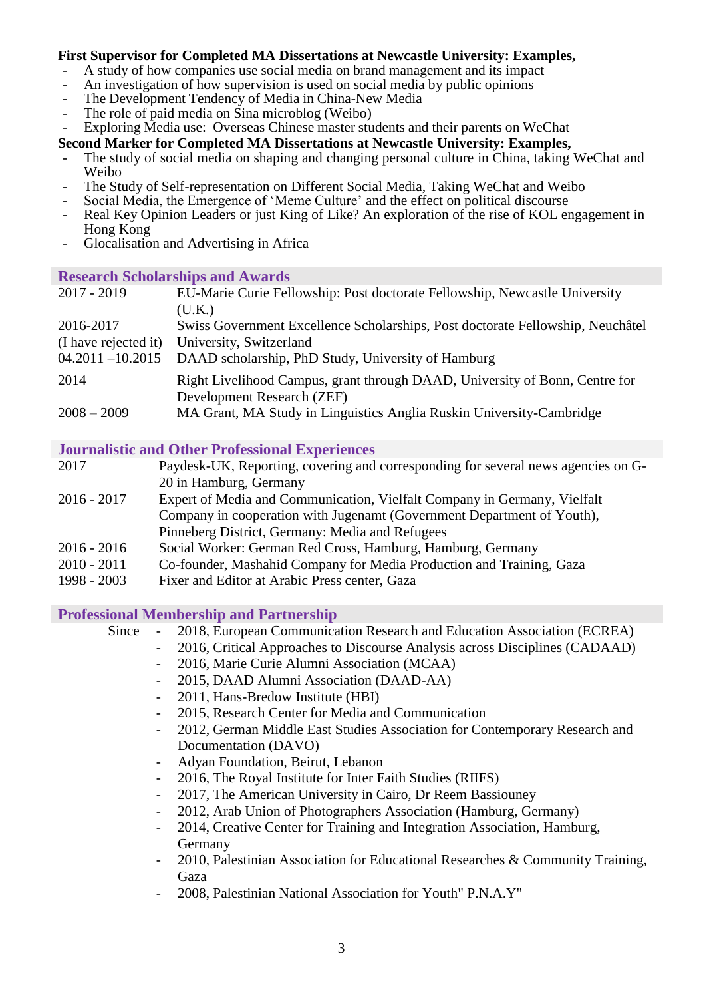# **First Supervisor for Completed MA Dissertations at Newcastle University: Examples,**

- A study of how companies use social media on brand management and its impact
- An investigation of how supervision is used on social media by public opinions
- The Development Tendency of Media in China-New Media
- The role of paid media on Sina microblog (Weibo)
- Exploring Media use: Overseas Chinese master students and their parents on WeChat

#### **Second Marker for Completed MA Dissertations at Newcastle University: Examples,**

- The study of social media on shaping and changing personal culture in China, taking WeChat and Weibo
- The Study of Self-representation on Different Social Media, Taking WeChat and Weibo
- Social Media, the Emergence of 'Meme Culture' and the effect on political discourse
- Real Key Opinion Leaders or just King of Like? An exploration of the rise of KOL engagement in Hong Kong
- Glocalisation and Advertising in Africa

#### **Research Scholarships and Awards**

| 2017 - 2019          | EU-Marie Curie Fellowship: Post doctorate Fellowship, Newcastle University     |
|----------------------|--------------------------------------------------------------------------------|
|                      | (U.K.)                                                                         |
| 2016-2017            | Swiss Government Excellence Scholarships, Post doctorate Fellowship, Neuchâtel |
| (I have rejected it) | University, Switzerland                                                        |
| $04.2011 - 10.2015$  | DAAD scholarship, PhD Study, University of Hamburg                             |
| 2014                 | Right Livelihood Campus, grant through DAAD, University of Bonn, Centre for    |
|                      | Development Research (ZEF)                                                     |
| $2008 - 2009$        | MA Grant, MA Study in Linguistics Anglia Ruskin University-Cambridge           |

# **Journalistic and Other Professional Experiences**

| 2017 | Paydesk-UK, Reporting, covering and corresponding for several news agencies on G- |
|------|-----------------------------------------------------------------------------------|
|      | 20 in Hamburg, Germany                                                            |

- 2016 2017 Expert of Media and Communication, Vielfalt Company in Germany, Vielfalt Company in cooperation with Jugenamt (Government Department of Youth), Pinneberg District, Germany: Media and Refugees
- 2016 2016 Social Worker: German Red Cross, Hamburg, Hamburg, Germany
- 2010 2011 Co-founder, Mashahid Company for Media Production and Training, Gaza
- 1998 2003 Fixer and Editor at Arabic Press center, Gaza

#### **Professional Membership and Partnership**

- Since 2018, European Communication Research and Education Association (ECREA)
	- 2016, Critical Approaches to Discourse Analysis across Disciplines (CADAAD)
		- 2016, Marie Curie Alumni Association (MCAA)
		- 2015, DAAD Alumni Association (DAAD-AA)
	- 2011, Hans-Bredow Institute (HBI)
	- 2015, Research Center for Media and Communication
	- 2012, German Middle East Studies Association for Contemporary Research and Documentation (DAVO)
	- Adyan Foundation, Beirut, Lebanon
	- 2016, The Royal Institute for Inter Faith Studies (RIIFS)
	- 2017, The American University in Cairo, Dr Reem Bassiouney
	- 2012, Arab Union of Photographers Association (Hamburg, Germany)
	- 2014, Creative Center for Training and Integration Association, Hamburg, Germany
	- 2010, Palestinian Association for Educational Researches & Community Training, Gaza
	- 2008, Palestinian National Association for Youth" P.N.A.Y"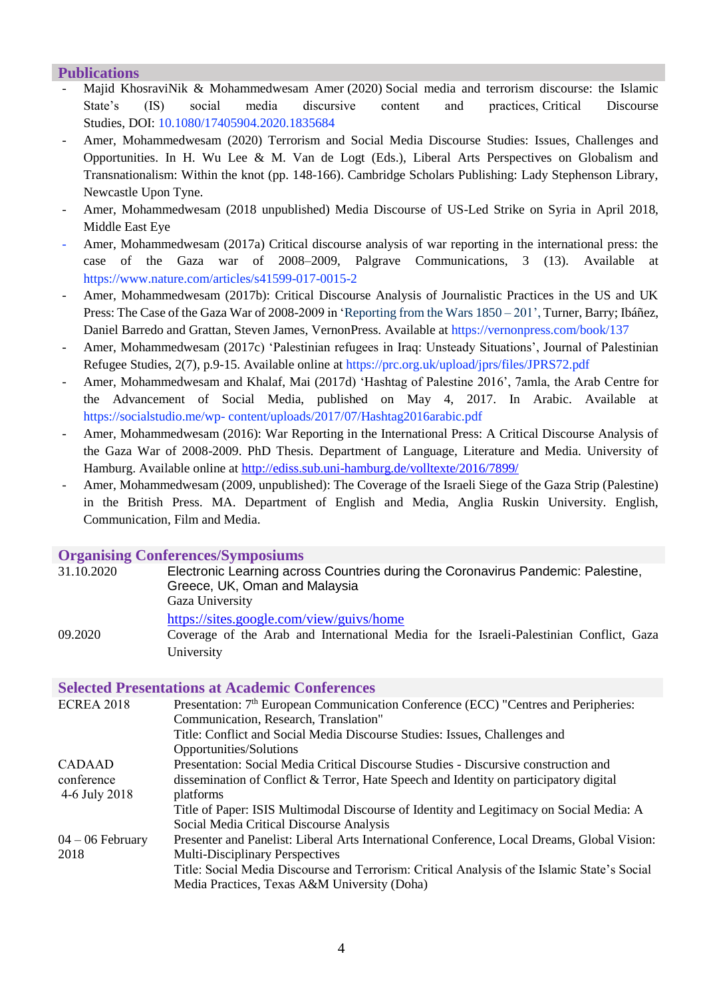#### **Publications**

- Majid KhosraviNik & Mohammedwesam Amer (2020) Social media and terrorism discourse: the Islamic State's (IS) social media discursive content and practices, Critical Discourse Studies, DOI: [10.1080/17405904.2020.1835684](https://doi.org/10.1080/17405904.2020.1835684)
- Amer, Mohammedwesam (2020) Terrorism and Social Media Discourse Studies: Issues, Challenges and Opportunities. In H. Wu Lee & M. Van de Logt (Eds.), Liberal Arts Perspectives on Globalism and Transnationalism: Within the knot (pp. 148-166). Cambridge Scholars Publishing: Lady Stephenson Library, Newcastle Upon Tyne.
- Amer, Mohammedwesam (2018 unpublished) Media Discourse of US-Led Strike on Syria in April 2018, Middle East Eye
- Amer, Mohammedwesam (2017a) Critical discourse analysis of war reporting in the international press: the case of the Gaza war of 2008–2009, Palgrave Communications, 3 (13). Available at <https://www.nature.com/articles/s41599-017-0015-2>
- Amer, Mohammedwesam (2017b): Critical Discourse Analysis of Journalistic Practices in the US and UK Press: The Case of the Gaza War of 2008-2009 in 'Reporting from the Wars 1850 – 201', Turner, Barry; Ibáñez, Daniel Barredo and Grattan, Steven James, VernonPress. Available a[t https://vernonpress.com/book/137](https://vernonpress.com/book/137)
- Amer, Mohammedwesam (2017c) 'Palestinian refugees in Iraq: Unsteady Situations', Journal of Palestinian Refugee Studies, 2(7), p.9-15. Available online at<https://prc.org.uk/upload/jprs/files/JPRS72.pdf>
- Amer, Mohammedwesam and Khalaf, Mai (2017d) 'Hashtag of Palestine 2016', 7amla, the Arab Centre for the Advancement of Social Media, published on May 4, 2017. In Arabic. Available at https://socialstudio.me/wp- [content/uploads/2017/07/Hashtag2016arabic.pdf](https://socialstudio.me/wp-%20content/uploads/2017/07/Hashtag2016arabic.pdf)
- Amer, Mohammedwesam (2016): War Reporting in the International Press: A Critical Discourse Analysis of the Gaza War of 2008-2009. PhD Thesis. Department of Language, Literature and Media. University of Hamburg. Available online at<http://ediss.sub.uni-hamburg.de/volltexte/2016/7899/>
- Amer, Mohammedwesam (2009, unpublished): The Coverage of the Israeli Siege of the Gaza Strip (Palestine) in the British Press. MA. Department of English and Media, Anglia Ruskin University. English, Communication, Film and Media.

## **Organising Conferences/Symposiums**

| 31.10.2020 | Electronic Learning across Countries during the Coronavirus Pandemic: Palestine,<br>Greece, UK, Oman and Malaysia<br>Gaza University |
|------------|--------------------------------------------------------------------------------------------------------------------------------------|
|            | https://sites.google.com/view/guivs/home                                                                                             |
| 09.2020 -  | Coverage of the Arab and International Media for the Israeli-Palestinian Conflict, Gaza                                              |
|            | University                                                                                                                           |

#### **Selected Presentations at Academic Conferences**

| <b>ECREA 2018</b>  | Presentation: 7 <sup>th</sup> European Communication Conference (ECC) "Centres and Peripheries: |
|--------------------|-------------------------------------------------------------------------------------------------|
|                    | Communication, Research, Translation"                                                           |
|                    | Title: Conflict and Social Media Discourse Studies: Issues, Challenges and                      |
|                    | Opportunities/Solutions                                                                         |
| CADAAD             | Presentation: Social Media Critical Discourse Studies - Discursive construction and             |
| conference         | dissemination of Conflict & Terror, Hate Speech and Identity on participatory digital           |
| 4-6 July 2018      | platforms                                                                                       |
|                    | Title of Paper: ISIS Multimodal Discourse of Identity and Legitimacy on Social Media: A         |
|                    | Social Media Critical Discourse Analysis                                                        |
| $04 - 06$ February | Presenter and Panelist: Liberal Arts International Conference, Local Dreams, Global Vision:     |
| 2018               | <b>Multi-Disciplinary Perspectives</b>                                                          |
|                    | Title: Social Media Discourse and Terrorism: Critical Analysis of the Islamic State's Social    |
|                    | Media Practices, Texas A&M University (Doha)                                                    |